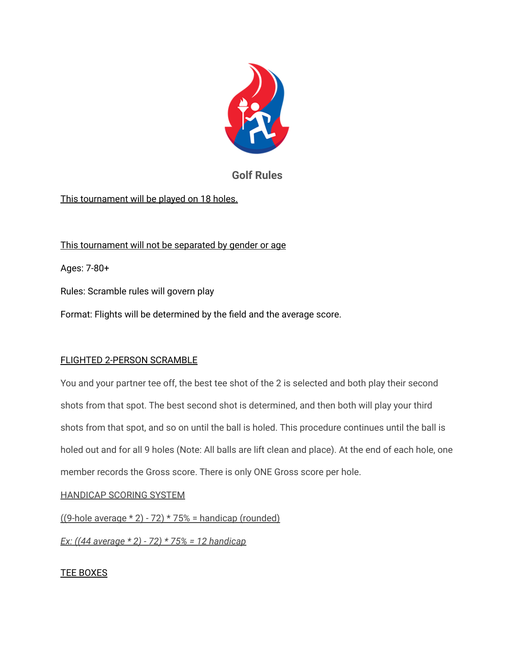

# **Golf Rules**

## This tournament will be played on 18 holes.

This tournament will not be separated by gender or age

Ages: 7-80+

Rules: Scramble rules will govern play

Format: Flights will be determined by the field and the average score.

### FLIGHTED 2-PERSON SCRAMBLE

You and your partner tee off, the best tee shot of the 2 is selected and both play their second shots from that spot. The best second shot is determined, and then both will play your third shots from that spot, and so on until the ball is holed. This procedure continues until the ball is holed out and for all 9 holes (Note: All balls are lift clean and place). At the end of each hole, one member records the Gross score. There is only ONE Gross score per hole.

### HANDICAP SCORING SYSTEM

 $((9-hole average * 2) - 72) * 75% = handicap (rounded)$ 

*Ex: ((44 average \* 2) - 72) \* 75% = 12 handicap*

### TEE BOXES